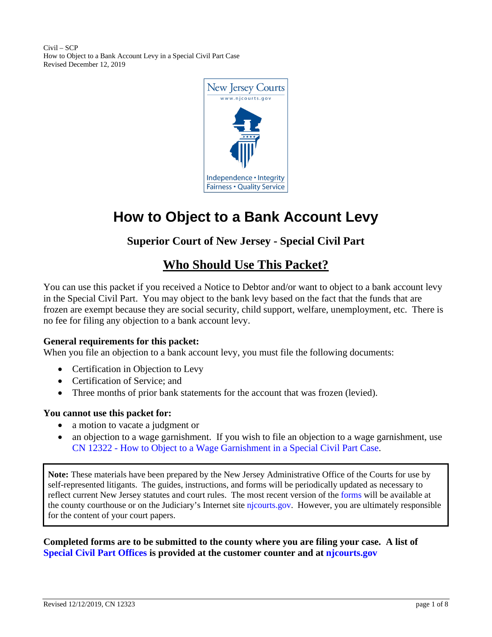Civil – SCP How to Object to a Bank Account Levy in a Special Civil Part Case Revised December 12, 2019



# **How to Object to a Bank Account Levy**

# **Superior Court of New Jersey - Special Civil Part**

# **Who Should Use This Packet?**

You can use this packet if you received a Notice to Debtor and/or want to object to a bank account levy in the Special Civil Part. You may object to the bank levy based on the fact that the funds that are frozen are exempt because they are social security, child support, welfare, unemployment, etc. There is no fee for filing any objection to a bank account levy.

#### **General requirements for this packet:**

When you file an objection to a bank account levy, you must file the following documents:

- Certification in Objection to Levy
- Certification of Service; and
- Three months of prior bank statements for the account that was frozen (levied).

#### **You cannot use this packet for:**

- a motion to vacate a judgment or
- an objection to a wage garnishment. If you wish to file an objection to a wage garnishment, use CN 12322 - [How to Object to a Wage Garnishment in a Special Civil Part Case.](https://www.njcourts.gov/forms/12322_obj_wage_garnish.pdf)

**Note:** These materials have been prepared by the New Jersey Administrative Office of the Courts for use by self-represented litigants. The guides, instructions, and forms will be periodically updated as necessary to reflect current New Jersey statutes and court rules. The most recent version of the [forms](http://www.njcourts.gov/selfhelp/catalog.html?customer=Prose) will be available at the county courthouse or on the Judiciary's Internet site [njcourts.gov.](http://www.njcourts.gov/selfhelp/catalog.html?customer=Prose) However, you are ultimately responsible for the content of your court papers.

#### **Completed forms are to be submitted to the county where you are filing your case. A list of [Special Civil Part Offices](http://www.njcourts.gov/forms/10150_spcclerkofc.pdf) is provided at the customer counter and at [njcourts.gov](http://www.njcourts.gov/forms/10150_spcclerkofc.pdf)**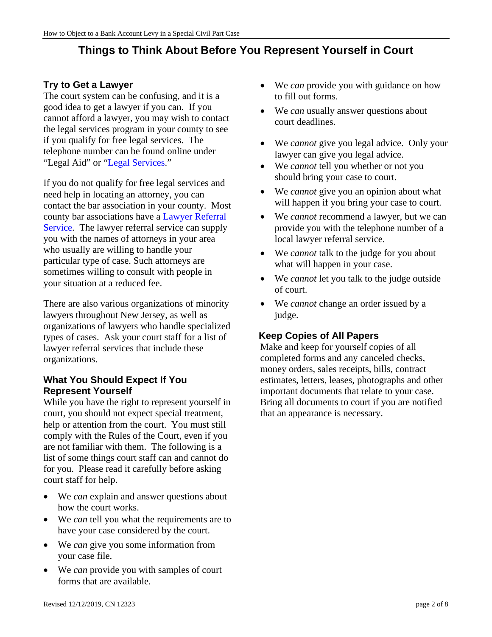# **Things to Think About Before You Represent Yourself in Court**

## **Try to Get a Lawyer**

The court system can be confusing, and it is a good idea to get a lawyer if you can. If you cannot afford a lawyer, you may wish to contact the legal services program in your county to see if you qualify for free legal services. The telephone number can be found online under "Legal Aid" or ["Legal Services.](https://www.lsnj.org/)"

If you do not qualify for free legal services and need help in locating an attorney, you can contact the bar association in your county. Most county bar associations have a [Lawyer Referral](http://apps.americanbar.org/legalservices/lris/directory/main.cfm?id=NJ)  [Service.](http://apps.americanbar.org/legalservices/lris/directory/main.cfm?id=NJ) The lawyer referral service can supply you with the names of attorneys in your area who usually are willing to handle your particular type of case. Such attorneys are sometimes willing to consult with people in your situation at a reduced fee.

There are also various organizations of minority lawyers throughout New Jersey, as well as organizations of lawyers who handle specialized types of cases. Ask your court staff for a list of lawyer referral services that include these organizations.

### **What You Should Expect If You Represent Yourself**

While you have the right to represent yourself in court, you should not expect special treatment, help or attention from the court. You must still comply with the Rules of the Court, even if you are not familiar with them. The following is a list of some things court staff can and cannot do for you. Please read it carefully before asking court staff for help.

- We *can* explain and answer questions about how the court works.
- We *can* tell you what the requirements are to have your case considered by the court.
- We *can* give you some information from your case file.
- We *can* provide you with samples of court forms that are available.
- We *can* provide you with guidance on how to fill out forms.
- We *can* usually answer questions about court deadlines.
- We *cannot* give you legal advice. Only your lawyer can give you legal advice.
- We *cannot* tell you whether or not you should bring your case to court.
- We *cannot* give you an opinion about what will happen if you bring your case to court.
- We *cannot* recommend a lawyer, but we can provide you with the telephone number of a local lawyer referral service.
- We *cannot* talk to the judge for you about what will happen in your case.
- We *cannot* let you talk to the judge outside of court.
- We *cannot* change an order issued by a judge.

# **Keep Copies of All Papers**

Make and keep for yourself copies of all completed forms and any canceled checks, money orders, sales receipts, bills, contract estimates, letters, leases, photographs and other important documents that relate to your case. Bring all documents to court if you are notified that an appearance is necessary.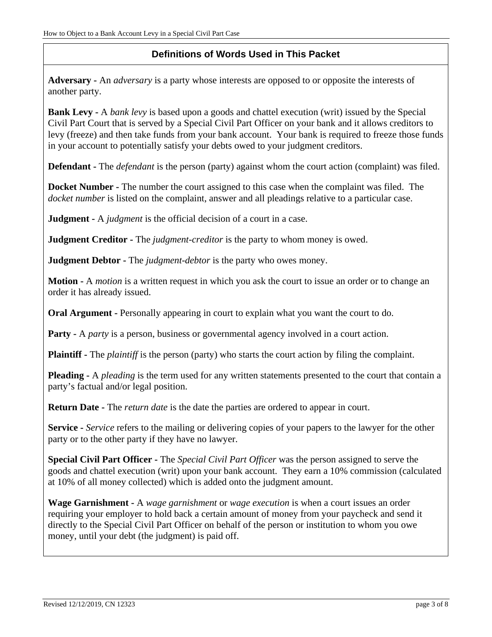# **Definitions of Words Used in This Packet**

**Adversary -** An *adversary* is a party whose interests are opposed to or opposite the interests of another party.

**Bank Levy -** A *bank levy* is based upon a goods and chattel execution (writ) issued by the Special Civil Part Court that is served by a Special Civil Part Officer on your bank and it allows creditors to levy (freeze) and then take funds from your bank account. Your bank is required to freeze those funds in your account to potentially satisfy your debts owed to your judgment creditors.

**Defendant -** The *defendant* is the person (party) against whom the court action (complaint) was filed.

**Docket Number -** The number the court assigned to this case when the complaint was filed. The *docket number* is listed on the complaint, answer and all pleadings relative to a particular case.

**Judgment -** A *judgment* is the official decision of a court in a case.

**Judgment Creditor -** The *judgment-creditor* is the party to whom money is owed.

**Judgment Debtor -** The *judgment-debtor* is the party who owes money.

**Motion -** A *motion* is a written request in which you ask the court to issue an order or to change an order it has already issued.

**Oral Argument -** Personally appearing in court to explain what you want the court to do.

**Party -** A *party* is a person, business or governmental agency involved in a court action.

**Plaintiff -** The *plaintiff* is the person (party) who starts the court action by filing the complaint.

**Pleading -** A *pleading* is the term used for any written statements presented to the court that contain a party's factual and/or legal position.

**Return Date -** The *return date* is the date the parties are ordered to appear in court.

**Service -** *Service* refers to the mailing or delivering copies of your papers to the lawyer for the other party or to the other party if they have no lawyer.

**Special Civil Part Officer -** The *Special Civil Part Officer* was the person assigned to serve the goods and chattel execution (writ) upon your bank account. They earn a 10% commission (calculated at 10% of all money collected) which is added onto the judgment amount.

**Wage Garnishment -** A *wage garnishment* or *wage execution* is when a court issues an order requiring your employer to hold back a certain amount of money from your paycheck and send it directly to the Special Civil Part Officer on behalf of the person or institution to whom you owe money, until your debt (the judgment) is paid off.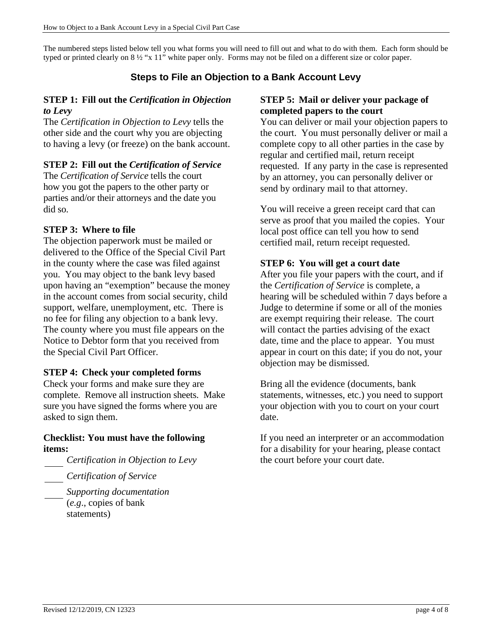The numbered steps listed below tell you what forms you will need to fill out and what to do with them. Each form should be typed or printed clearly on 8 ½ "x 11" white paper only. Forms may not be filed on a different size or color paper.

# **Steps to File an Objection to a Bank Account Levy**

#### **STEP 1: Fill out the** *Certification in Objection to Levy*

The *Certification in Objection to Levy* tells the other side and the court why you are objecting to having a levy (or freeze) on the bank account.

# **STEP 2: Fill out the** *Certification of Service*

The *Certification of Service* tells the court how you got the papers to the other party or parties and/or their attorneys and the date you did so.

### **STEP 3: Where to file**

The objection paperwork must be mailed or delivered to the Office of the Special Civil Part in the county where the case was filed against you. You may object to the bank levy based upon having an "exemption" because the money in the account comes from social security, child support, welfare, unemployment, etc. There is no fee for filing any objection to a bank levy. The county where you must file appears on the Notice to Debtor form that you received from the Special Civil Part Officer.

# **STEP 4: Check your completed forms**

Check your forms and make sure they are complete. Remove all instruction sheets. Make sure you have signed the forms where you are asked to sign them.

#### **Checklist: You must have the following items:**

*Certification in Objection to Levy*

*Certification of Service*

*Supporting documentation* (*e.g*., copies of bank statements)

#### **STEP 5: Mail or deliver your package of completed papers to the court**

You can deliver or mail your objection papers to the court. You must personally deliver or mail a complete copy to all other parties in the case by regular and certified mail, return receipt requested. If any party in the case is represented by an attorney, you can personally deliver or send by ordinary mail to that attorney.

You will receive a green receipt card that can serve as proof that you mailed the copies. Your local post office can tell you how to send certified mail, return receipt requested.

# **STEP 6: You will get a court date**

After you file your papers with the court, and if the *Certification of Service* is complete, a hearing will be scheduled within 7 days before a Judge to determine if some or all of the monies are exempt requiring their release. The court will contact the parties advising of the exact date, time and the place to appear. You must appear in court on this date; if you do not, your objection may be dismissed.

Bring all the evidence (documents, bank statements, witnesses, etc.) you need to support your objection with you to court on your court date.

If you need an interpreter or an accommodation for a disability for your hearing, please contact the court before your court date.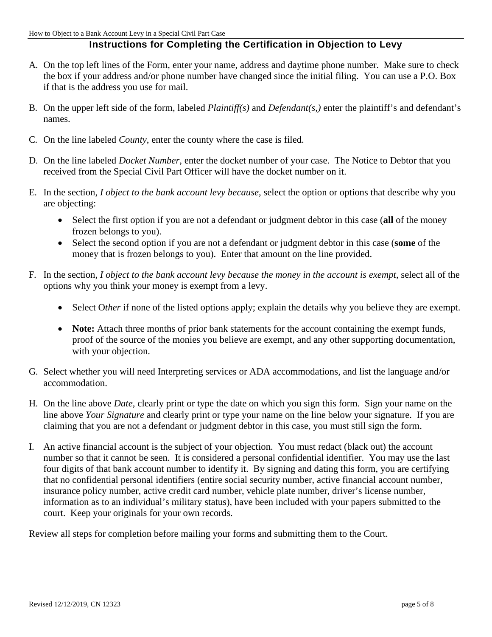#### **Instructions for Completing the Certification in Objection to Levy**

- A. On the top left lines of the Form, enter your name, address and daytime phone number. Make sure to check the box if your address and/or phone number have changed since the initial filing. You can use a P.O. Box if that is the address you use for mail.
- B. On the upper left side of the form, labeled *Plaintiff(s)* and *Defendant(s,)* enter the plaintiff's and defendant's names.
- C. On the line labeled *County*, enter the county where the case is filed.
- D. On the line labeled *Docket Number*, enter the docket number of your case. The Notice to Debtor that you received from the Special Civil Part Officer will have the docket number on it.
- E. In the section, *I object to the bank account levy because*, select the option or options that describe why you are objecting:
	- Select the first option if you are not a defendant or judgment debtor in this case (**all** of the money frozen belongs to you).
	- Select the second option if you are not a defendant or judgment debtor in this case (**some** of the money that is frozen belongs to you). Enter that amount on the line provided.
- F. In the section, *I object to the bank account levy because the money in the account is exempt*, select all of the options why you think your money is exempt from a levy.
	- Select Other if none of the listed options apply; explain the details why you believe they are exempt.
	- **Note:** Attach three months of prior bank statements for the account containing the exempt funds, proof of the source of the monies you believe are exempt, and any other supporting documentation, with your objection.
- G. Select whether you will need Interpreting services or ADA accommodations, and list the language and/or accommodation.
- H. On the line above *Date*, clearly print or type the date on which you sign this form. Sign your name on the line above *Your Signature* and clearly print or type your name on the line below your signature. If you are claiming that you are not a defendant or judgment debtor in this case, you must still sign the form.
- I. An active financial account is the subject of your objection. You must redact (black out) the account number so that it cannot be seen. It is considered a personal confidential identifier. You may use the last four digits of that bank account number to identify it. By signing and dating this form, you are certifying that no confidential personal identifiers (entire social security number, active financial account number, insurance policy number, active credit card number, vehicle plate number, driver's license number, information as to an individual's military status), have been included with your papers submitted to the court. Keep your originals for your own records.

Review all steps for completion before mailing your forms and submitting them to the Court.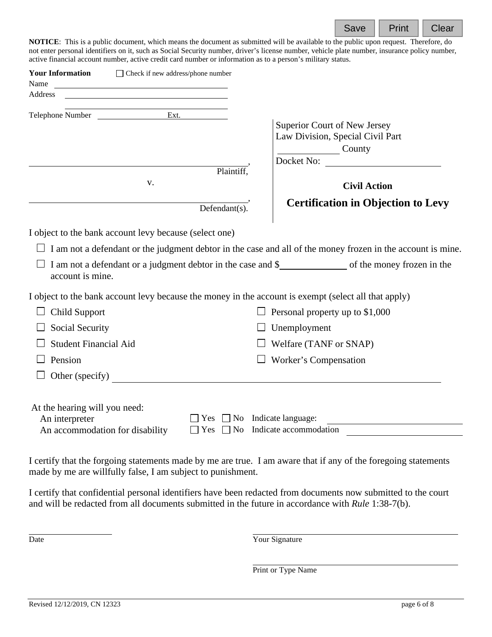

**NOTICE**: This is a public document, which means the document as submitted will be available to the public upon request. Therefore, do not enter personal identifiers on it, such as Social Security number, driver's license number, vehicle plate number, insurance policy number, active financial account number, active credit card number or information as to a person's military status.

| <b>Your Information</b><br>Name<br><u> Alexandria de la contrada de la contrada de la contrada de la contrada de la contrada de la contrada de la c</u> | □ Check if new address/phone number      |                                                                                                                    |  |
|---------------------------------------------------------------------------------------------------------------------------------------------------------|------------------------------------------|--------------------------------------------------------------------------------------------------------------------|--|
| Address<br><u> 1989 - Johann Barbara, martin amerikan basar dan berasal dan berasal dalam basar dalam basar dalam basar dala</u>                        |                                          |                                                                                                                    |  |
| <u> 1989 - Johann Barn, mars ann an t-Amhain Aonaich an t-Aonaich an t-Aonaich an t-Aonaich an t-Aonaich an t-Aon</u><br>Telephone Number Ext.          |                                          | Superior Court of New Jersey<br>Law Division, Special Civil Part                                                   |  |
|                                                                                                                                                         | Plaintiff,                               | County<br>Docket No:                                                                                               |  |
| V.                                                                                                                                                      |                                          | <b>Civil Action</b>                                                                                                |  |
|                                                                                                                                                         | Defendant(s).                            | <b>Certification in Objection to Levy</b>                                                                          |  |
| I object to the bank account levy because (select one)                                                                                                  |                                          |                                                                                                                    |  |
|                                                                                                                                                         |                                          | $\Box$ I am not a defendant or the judgment debtor in the case and all of the money frozen in the account is mine. |  |
| account is mine.                                                                                                                                        |                                          |                                                                                                                    |  |
|                                                                                                                                                         |                                          | I object to the bank account levy because the money in the account is exempt (select all that apply)               |  |
| <b>Child Support</b>                                                                                                                                    | $\Box$ Personal property up to \$1,000   |                                                                                                                    |  |
| Social Security                                                                                                                                         | Unemployment                             |                                                                                                                    |  |
| <b>Student Financial Aid</b>                                                                                                                            | Welfare (TANF or SNAP)                   |                                                                                                                    |  |
| Pension                                                                                                                                                 | Worker's Compensation                    |                                                                                                                    |  |
| Other (specify)                                                                                                                                         |                                          |                                                                                                                    |  |
| At the hearing will you need:<br>An interpreter                                                                                                         | $Yes \Box No \text{ Indicate language:}$ |                                                                                                                    |  |
| An accommodation for disability                                                                                                                         |                                          | $Yes \Box No \text{ Indicate accommodation}$                                                                       |  |
|                                                                                                                                                         |                                          |                                                                                                                    |  |

I certify that the forgoing statements made by me are true. I am aware that if any of the foregoing statements made by me are willfully false, I am subject to punishment.

I certify that confidential personal identifiers have been redacted from documents now submitted to the court and will be redacted from all documents submitted in the future in accordance with *Rule* 1:38-7(b).

Date Your Signature

Print or Type Name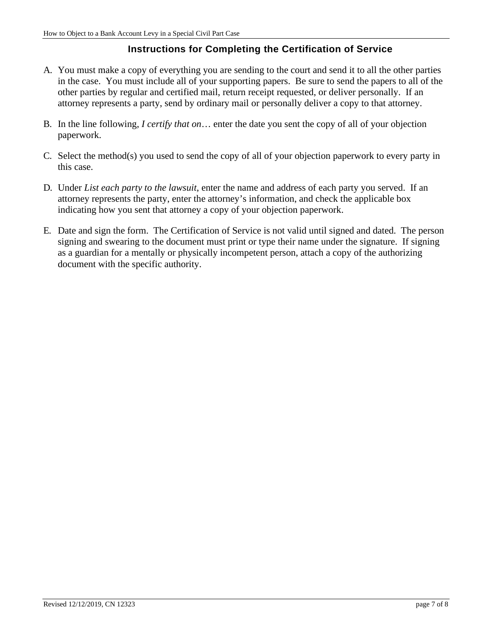### **Instructions for Completing the Certification of Service**

- A. You must make a copy of everything you are sending to the court and send it to all the other parties in the case. You must include all of your supporting papers. Be sure to send the papers to all of the other parties by regular and certified mail, return receipt requested, or deliver personally. If an attorney represents a party, send by ordinary mail or personally deliver a copy to that attorney.
- B. In the line following, *I certify that on*… enter the date you sent the copy of all of your objection paperwork.
- C. Select the method(s) you used to send the copy of all of your objection paperwork to every party in this case.
- D. Under *List each party to the lawsuit*, enter the name and address of each party you served. If an attorney represents the party, enter the attorney's information, and check the applicable box indicating how you sent that attorney a copy of your objection paperwork.
- E. Date and sign the form. The Certification of Service is not valid until signed and dated. The person signing and swearing to the document must print or type their name under the signature. If signing as a guardian for a mentally or physically incompetent person, attach a copy of the authorizing document with the specific authority.